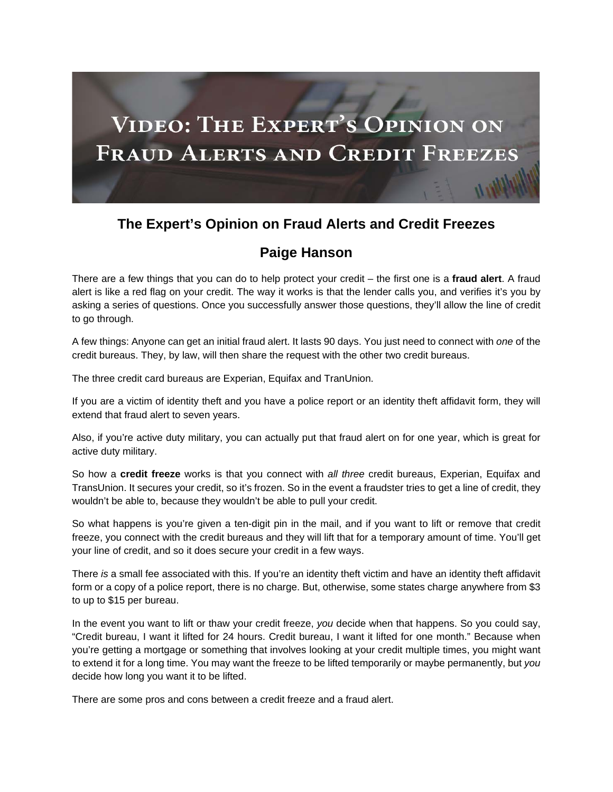

## **The Expert's Opinion on Fraud Alerts and Credit Freezes**

## **Paige Hanson**

There are a few things that you can do to help protect your credit – the first one is a **fraud alert**. A fraud alert is like a red flag on your credit. The way it works is that the lender calls you, and verifies it's you by asking a series of questions. Once you successfully answer those questions, they'll allow the line of credit to go through.

A few things: Anyone can get an initial fraud alert. It lasts 90 days. You just need to connect with *one* of the credit bureaus. They, by law, will then share the request with the other two credit bureaus.

The three credit card bureaus are Experian, Equifax and TranUnion.

If you are a victim of identity theft and you have a police report or an identity theft affidavit form, they will extend that fraud alert to seven years.

Also, if you're active duty military, you can actually put that fraud alert on for one year, which is great for active duty military.

So how a **credit freeze** works is that you connect with *all three* credit bureaus, Experian, Equifax and TransUnion. It secures your credit, so it's frozen. So in the event a fraudster tries to get a line of credit, they wouldn't be able to, because they wouldn't be able to pull your credit.

So what happens is you're given a ten-digit pin in the mail, and if you want to lift or remove that credit freeze, you connect with the credit bureaus and they will lift that for a temporary amount of time. You'll get your line of credit, and so it does secure your credit in a few ways.

There *is* a small fee associated with this. If you're an identity theft victim and have an identity theft affidavit form or a copy of a police report, there is no charge. But, otherwise, some states charge anywhere from \$3 to up to \$15 per bureau.

In the event you want to lift or thaw your credit freeze, *you* decide when that happens. So you could say, "Credit bureau, I want it lifted for 24 hours. Credit bureau, I want it lifted for one month." Because when you're getting a mortgage or something that involves looking at your credit multiple times, you might want to extend it for a long time. You may want the freeze to be lifted temporarily or maybe permanently, but *you* decide how long you want it to be lifted.

There are some pros and cons between a credit freeze and a fraud alert.